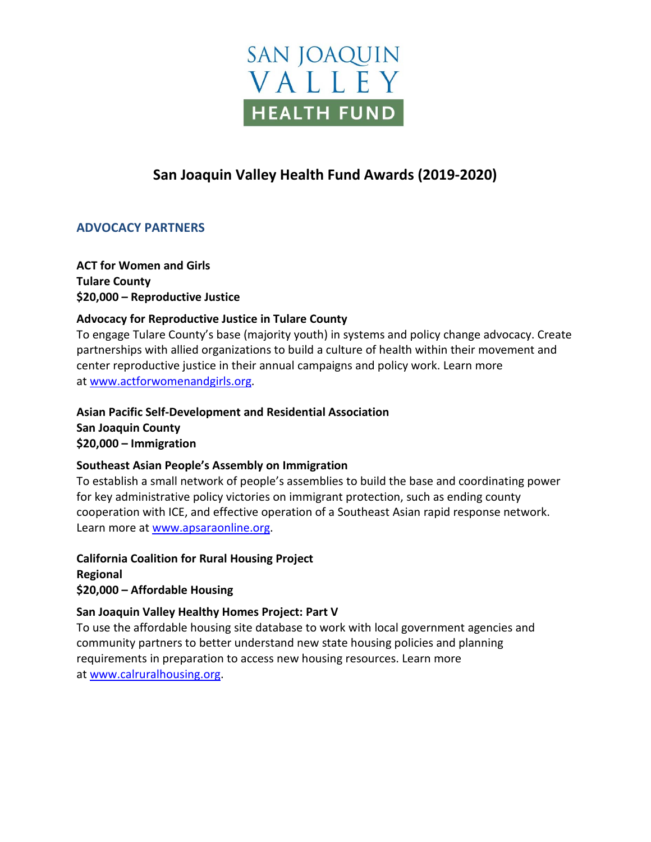

# **San Joaquin Valley Health Fund Awards (2019-2020)**

# **ADVOCACY PARTNERS**

**ACT for Women and Girls Tulare County \$20,000 – Reproductive Justice**

# **Advocacy for Reproductive Justice in Tulare County**

To engage Tulare County's base (majority youth) in systems and policy change advocacy. Create partnerships with allied organizations to build a culture of health within their movement and center reproductive justice in their annual campaigns and policy work. Learn more at [www.actforwomenandgirls.org.](http://www.actforwomenandgirls.org/)

**Asian Pacific Self-Development and Residential Association San Joaquin County \$20,000 – Immigration**

### **Southeast Asian People's Assembly on Immigration**

To establish a small network of people's assemblies to build the base and coordinating power for key administrative policy victories on immigrant protection, such as ending county cooperation with ICE, and effective operation of a Southeast Asian rapid response network. Learn more at [www.apsaraonline.org.](http://www.apsaraonline.org/)

**California Coalition for Rural Housing Project Regional \$20,000 – Affordable Housing**

### **San Joaquin Valley Healthy Homes Project: Part V**

To use the affordable housing site database to work with local government agencies and community partners to better understand new state housing policies and planning requirements in preparation to access new housing resources. Learn more at [www.calruralhousing.org.](http://www.calruralhousing.org/)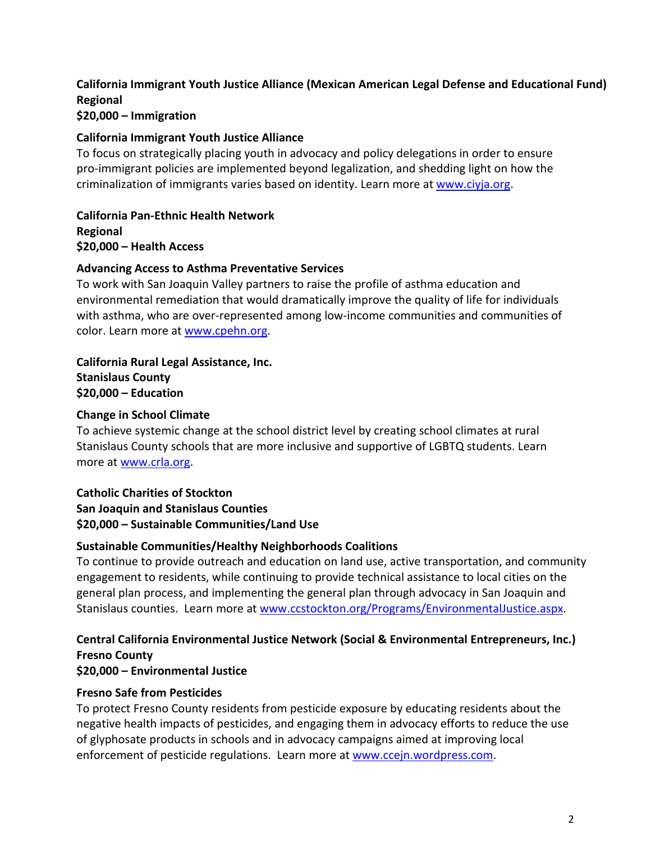# **California Immigrant Youth Justice Alliance (Mexican American Legal Defense and Educational Fund) Regional**

### **\$20,000 – Immigration**

### **California Immigrant Youth Justice Alliance**

To focus on strategically placing youth in advocacy and policy delegations in order to ensure pro-immigrant policies are implemented beyond legalization, and shedding light on how the criminalization of immigrants varies based on identity. Learn more at [www.ciyja.org.](http://www.ciyja.org/)

**California Pan-Ethnic Health Network Regional \$20,000 – Health Access**

### **Advancing Access to Asthma Preventative Services**

To work with San Joaquin Valley partners to raise the profile of asthma education and environmental remediation that would dramatically improve the quality of life for individuals with asthma, who are over-represented among low-income communities and communities of color. Learn more at [www.cpehn.org.](http://www.cpehn.org/)

**California Rural Legal Assistance, Inc. Stanislaus County \$20,000 – Education**

# **Change in School Climate**

To achieve systemic change at the school district level by creating school climates at rural Stanislaus County schools that are more inclusive and supportive of LGBTQ students. Learn more at [www.crla.org.](http://www.crla.org/)

# **Catholic Charities of Stockton**

**San Joaquin and Stanislaus Counties \$20,000 – Sustainable Communities/Land Use**

# **Sustainable Communities/Healthy Neighborhoods Coalitions**

To continue to provide outreach and education on land use, active transportation, and community engagement to residents, while continuing to provide technical assistance to local cities on the general plan process, and implementing the general plan through advocacy in San Joaquin and Stanislaus counties. Learn more at [www.ccstockton.org/Programs/EnvironmentalJustice.aspx.](http://www.ccstockton.org/Programs/EnvironmentalJustice.aspx)

# **Central California Environmental Justice Network (Social & Environmental Entrepreneurs, Inc.) Fresno County**

### **\$20,000 – Environmental Justice**

# **Fresno Safe from Pesticides**

To protect Fresno County residents from pesticide exposure by educating residents about the negative health impacts of pesticides, and engaging them in advocacy efforts to reduce the use of glyphosate products in schools and in advocacy campaigns aimed at improving local enforcement of pesticide regulations. Learn more a[t www.ccejn.wordpress.com.](http://www.ccejn.wordpress.com/)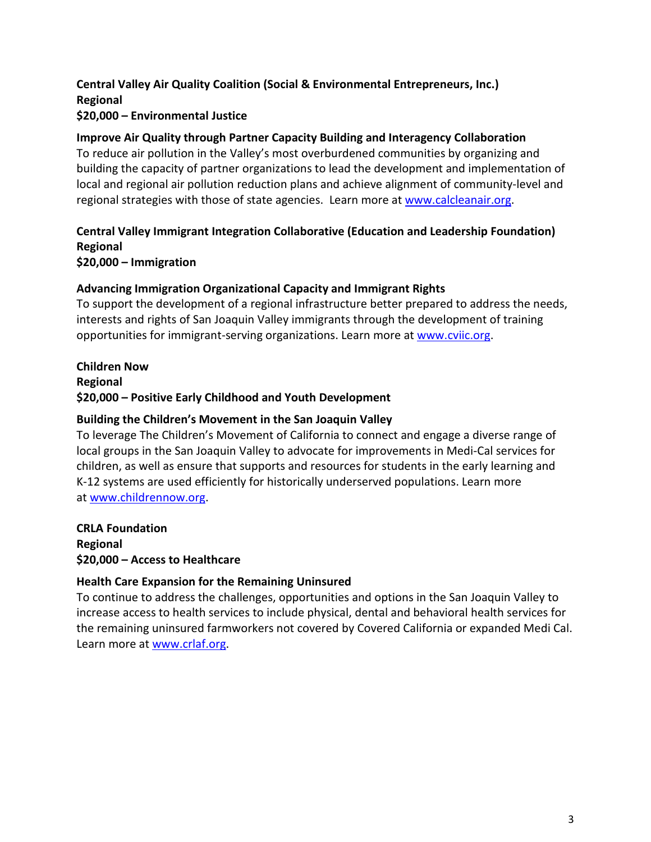### **Central Valley Air Quality Coalition (Social & Environmental Entrepreneurs, Inc.) Regional \$20,000 – Environmental Justice**

### **Improve Air Quality through Partner Capacity Building and Interagency Collaboration**

To reduce air pollution in the Valley's most overburdened communities by organizing and building the capacity of partner organizations to lead the development and implementation of local and regional air pollution reduction plans and achieve alignment of community-level and regional strategies with those of state agencies. Learn more at [www.calcleanair.org.](http://www.calcleanair.org/)

# **Central Valley Immigrant Integration Collaborative (Education and Leadership Foundation) Regional**

**\$20,000 – Immigration**

### **Advancing Immigration Organizational Capacity and Immigrant Rights**

To support the development of a regional infrastructure better prepared to address the needs, interests and rights of San Joaquin Valley immigrants through the development of training opportunities for immigrant-serving organizations. Learn more at [www.cviic.org.](http://www.cviic.org/)

# **Children Now Regional \$20,000 – Positive Early Childhood and Youth Development**

### **Building the Children's Movement in the San Joaquin Valley**

To leverage The Children's Movement of California to connect and engage a diverse range of local groups in the San Joaquin Valley to advocate for improvements in Medi-Cal services for children, as well as ensure that supports and resources for students in the early learning and K-12 systems are used efficiently for historically underserved populations. Learn more at [www.childrennow.org.](http://www.childrennow.org/)

**CRLA Foundation Regional \$20,000 – Access to Healthcare**

# **Health Care Expansion for the Remaining Uninsured**

To continue to address the challenges, opportunities and options in the San Joaquin Valley to increase access to health services to include physical, dental and behavioral health services for the remaining uninsured farmworkers not covered by Covered California or expanded Medi Cal. Learn more at [www.crlaf.org.](http://www.crlaf.org/)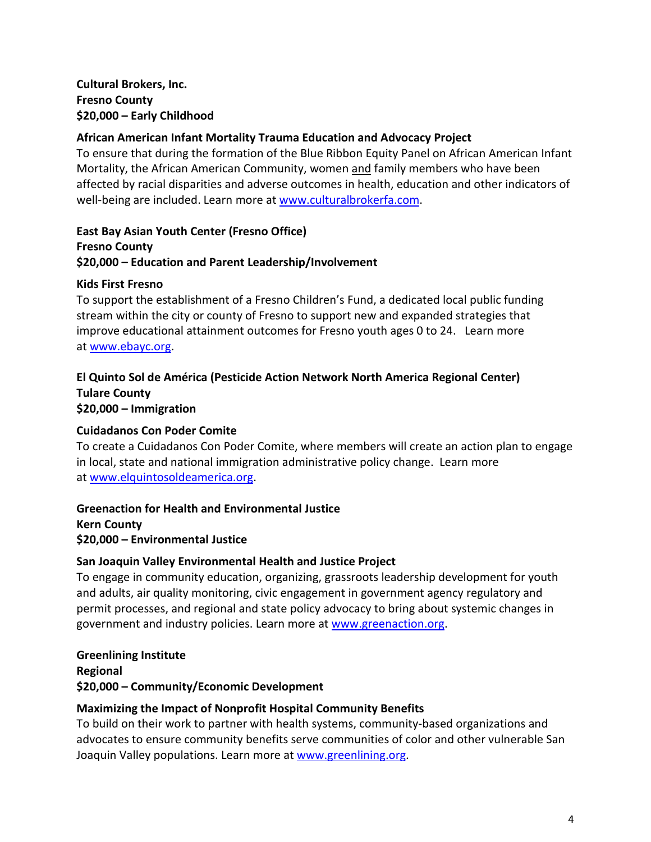# **Cultural Brokers, Inc. Fresno County \$20,000 – Early Childhood**

# **African American Infant Mortality Trauma Education and Advocacy Project**

To ensure that during the formation of the Blue Ribbon Equity Panel on African American Infant Mortality, the African American Community, women and family members who have been affected by racial disparities and adverse outcomes in health, education and other indicators of well-being are included. Learn more at [www.culturalbrokerfa.com.](http://www.culturalbrokerfa.com/)

**East Bay Asian Youth Center (Fresno Office) Fresno County \$20,000 – Education and Parent Leadership/Involvement**

### **Kids First Fresno**

To support the establishment of a Fresno Children's Fund, a dedicated local public funding stream within the city or county of Fresno to support new and expanded strategies that improve educational attainment outcomes for Fresno youth ages 0 to 24. Learn more at [www.ebayc.org.](http://www.ebayc.org/)

### **El Quinto Sol de América (Pesticide Action Network North America Regional Center) Tulare County \$20,000 – Immigration**

# **Cuidadanos Con Poder Comite**

To create a Cuidadanos Con Poder Comite, where members will create an action plan to engage in local, state and national immigration administrative policy change. Learn more at [www.elquintosoldeamerica.org.](http://www.elquintosoldeamerica.org/)

# **Greenaction for Health and Environmental Justice**

**Kern County \$20,000 – Environmental Justice**

### **San Joaquin Valley Environmental Health and Justice Project**

To engage in community education, organizing, grassroots leadership development for youth and adults, air quality monitoring, civic engagement in government agency regulatory and permit processes, and regional and state policy advocacy to bring about systemic changes in government and industry policies. Learn more at [www.greenaction.org.](http://www.greenaction.org/)

**Greenlining Institute Regional \$20,000 – Community/Economic Development**

### **Maximizing the Impact of Nonprofit Hospital Community Benefits**

To build on their work to partner with health systems, community-based organizations and advocates to ensure community benefits serve communities of color and other vulnerable San Joaquin Valley populations. Learn more at [www.greenlining.org.](http://www.greenlining.org/)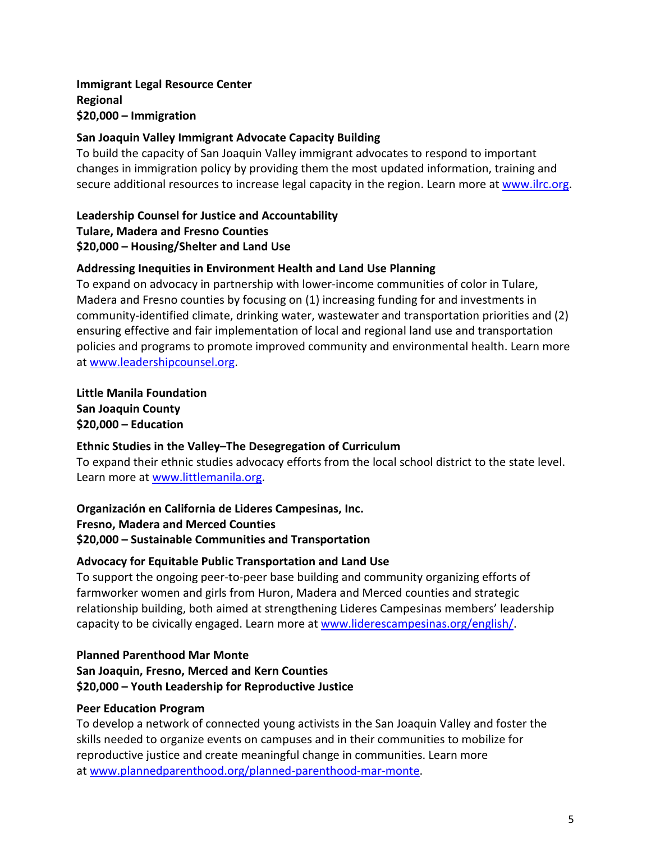# **Immigrant Legal Resource Center Regional \$20,000 – Immigration**

### **San Joaquin Valley Immigrant Advocate Capacity Building**

To build the capacity of San Joaquin Valley immigrant advocates to respond to important changes in immigration policy by providing them the most updated information, training and secure additional resources to increase legal capacity in the region. Learn more at [www.ilrc.org.](http://www.ilrc.org/)

**Leadership Counsel for Justice and Accountability Tulare, Madera and Fresno Counties \$20,000 – Housing/Shelter and Land Use**

### **Addressing Inequities in Environment Health and Land Use Planning**

To expand on advocacy in partnership with lower-income communities of color in Tulare, Madera and Fresno counties by focusing on (1) increasing funding for and investments in community-identified climate, drinking water, wastewater and transportation priorities and (2) ensuring effective and fair implementation of local and regional land use and transportation policies and programs to promote improved community and environmental health. Learn more at [www.leadershipcounsel.org.](http://www.leadershipcounsel.org/)

**Little Manila Foundation San Joaquin County \$20,000 – Education**

### **Ethnic Studies in the Valley–The Desegregation of Curriculum**

To expand their ethnic studies advocacy efforts from the local school district to the state level. Learn more at [www.littlemanila.org.](http://www.littlemanila.org/)

**Organización en California de Lideres Campesinas, Inc. Fresno, Madera and Merced Counties \$20,000 – Sustainable Communities and Transportation**

### **Advocacy for Equitable Public Transportation and Land Use**

To support the ongoing peer-to-peer base building and community organizing efforts of farmworker women and girls from Huron, Madera and Merced counties and strategic relationship building, both aimed at strengthening Lideres Campesinas members' leadership capacity to be civically engaged. Learn more at [www.liderescampesinas.org/english/.](http://www.liderescampesinas.org/english/)

### **Planned Parenthood Mar Monte San Joaquin, Fresno, Merced and Kern Counties \$20,000 – Youth Leadership for Reproductive Justice**

# **Peer Education Program**

To develop a network of connected young activists in the San Joaquin Valley and foster the skills needed to organize events on campuses and in their communities to mobilize for reproductive justice and create meaningful change in communities. Learn more at [www.plannedparenthood.org/planned-parenthood-mar-monte.](http://www.plannedparenthood.org/planned-parenthood-mar-monte)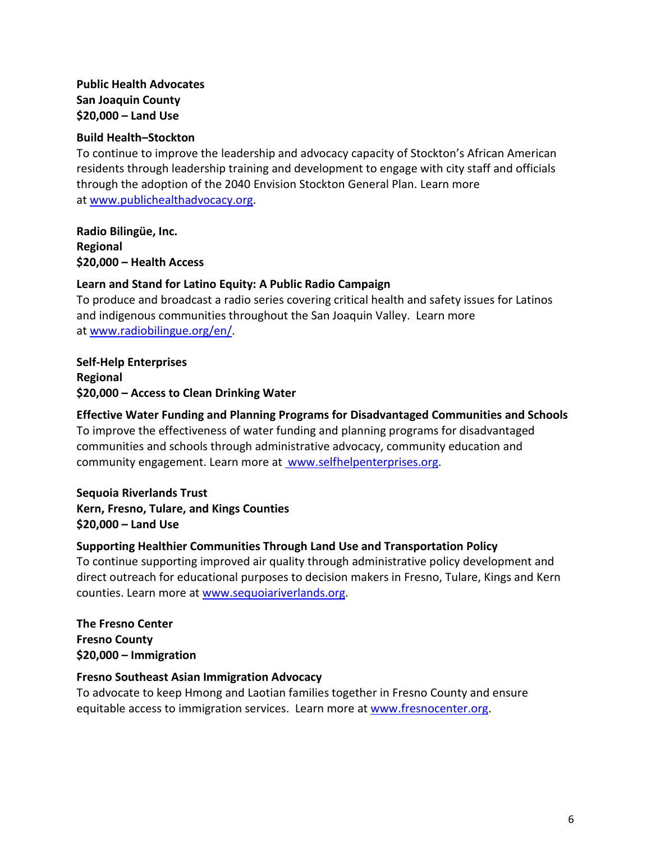# **Public Health Advocates San Joaquin County \$20,000 – Land Use**

### **Build Health–Stockton**

To continue to improve the leadership and advocacy capacity of Stockton's African American residents through leadership training and development to engage with city staff and officials through the adoption of the 2040 Envision Stockton General Plan. Learn more at [www.publichealthadvocacy.org.](http://www.publichealthadvocacy.org/)

**Radio Bilingüe, Inc. Regional \$20,000 – Health Access**

### **Learn and Stand for Latino Equity: A Public Radio Campaign**

To produce and broadcast a radio series covering critical health and safety issues for Latinos and indigenous communities throughout the San Joaquin Valley. Learn more at [www.radiobilingue.org/en/.](http://www.radiobilingue.org/en/)

### **Self-Help Enterprises Regional \$20,000 – Access to Clean Drinking Water**

# **Effective Water Funding and Planning Programs for Disadvantaged Communities and Schools**

To improve the effectiveness of water funding and planning programs for disadvantaged communities and schools through administrative advocacy, community education and community engagement. Learn more at www.selfhelpenterprises.org.

**Sequoia Riverlands Trust Kern, Fresno, Tulare, and Kings Counties \$20,000 – Land Use**

# **Supporting Healthier Communities Through Land Use and Transportation Policy**

To continue supporting improved air quality through administrative policy development and direct outreach for educational purposes to decision makers in Fresno, Tulare, Kings and Kern counties. Learn more at [www.sequoiariverlands.org.](http://www.sequoiariverlands.org/)

**The Fresno Center Fresno County \$20,000 – Immigration** 

### **Fresno Southeast Asian Immigration Advocacy**

To advocate to keep Hmong and Laotian families together in Fresno County and ensure equitable access to immigration services. Learn more a[t www.fresnocenter.org.](http://www.fresnocenter.org/)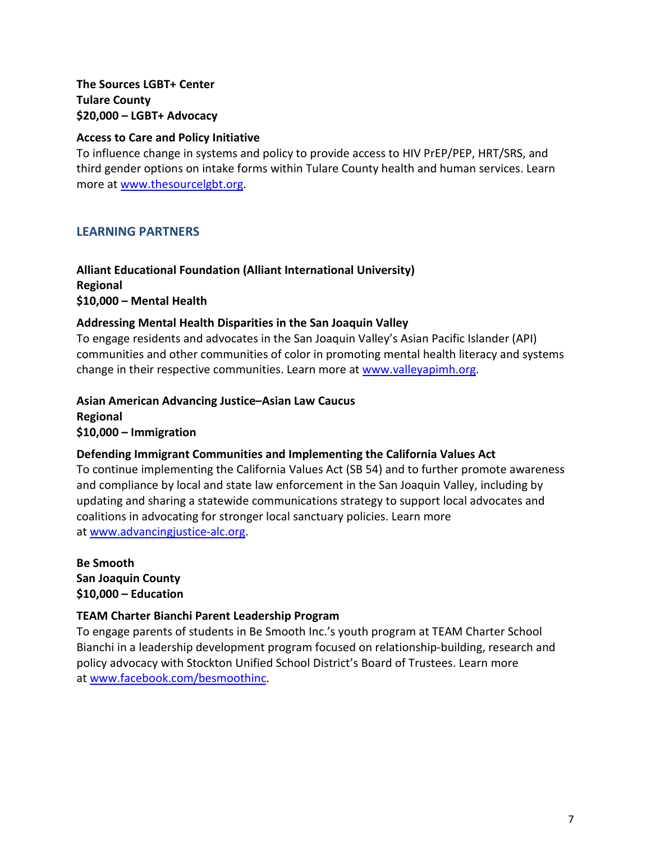# **The Sources LGBT+ Center Tulare County \$20,000 – LGBT+ Advocacy**

### **Access to Care and Policy Initiative**

To influence change in systems and policy to provide access to HIV PrEP/PEP, HRT/SRS, and third gender options on intake forms within Tulare County health and human services. Learn more at [www.thesourcelgbt.org.](http://www.thesourcelgbt.org/)

# **LEARNING PARTNERS**

### **Alliant Educational Foundation (Alliant International University) Regional \$10,000 – Mental Health**

### **Addressing Mental Health Disparities in the San Joaquin Valley**

To engage residents and advocates in the San Joaquin Valley's Asian Pacific Islander (API) communities and other communities of color in promoting mental health literacy and systems change in their respective communities. Learn more at [www.valleyapimh.org.](http://www.valleyapimh.org/)

**Asian American Advancing Justice–Asian Law Caucus Regional \$10,000 – Immigration**

### **Defending Immigrant Communities and Implementing the California Values Act**

To continue implementing the California Values Act (SB 54) and to further promote awareness and compliance by local and state law enforcement in the San Joaquin Valley, including by updating and sharing a statewide communications strategy to support local advocates and coalitions in advocating for stronger local sanctuary policies. Learn more at [www.advancingjustice-alc.org.](http://www.advancingjustice-alc.org/)

**Be Smooth San Joaquin County \$10,000 – Education**

# **TEAM Charter Bianchi Parent Leadership Program**

To engage parents of students in Be Smooth Inc.'s youth program at TEAM Charter School Bianchi in a leadership development program focused on relationship-building, research and policy advocacy with Stockton Unified School District's Board of Trustees. Learn more at [www.facebook.com/besmoothinc.](http://www.facebook.com/besmoothinc)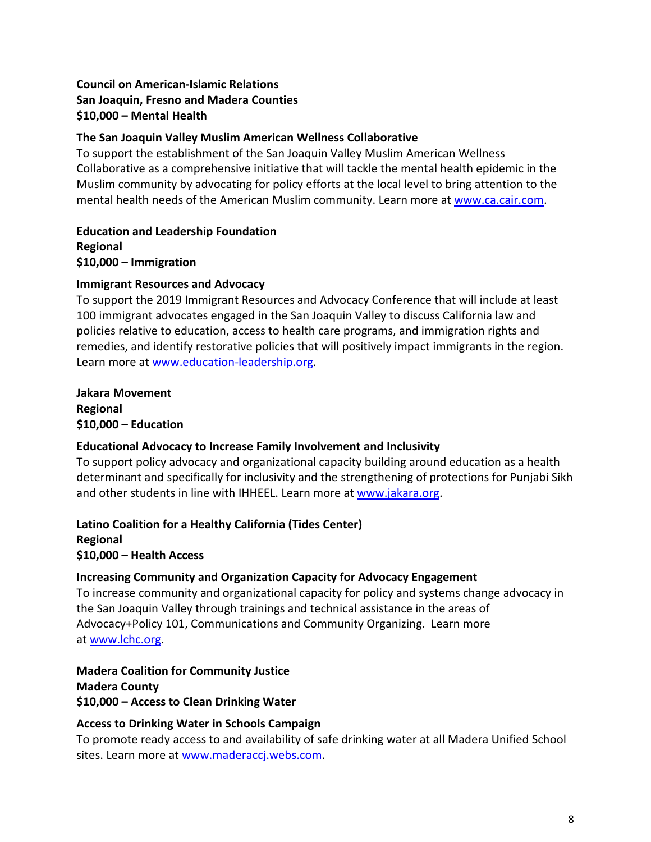# **Council on American-Islamic Relations San Joaquin, Fresno and Madera Counties \$10,000 – Mental Health**

### **The San Joaquin Valley Muslim American Wellness Collaborative**

To support the establishment of the San Joaquin Valley Muslim American Wellness Collaborative as a comprehensive initiative that will tackle the mental health epidemic in the Muslim community by advocating for policy efforts at the local level to bring attention to the mental health needs of the American Muslim community. Learn more at [www.ca.cair.com.](http://www.ca.cair.com/)

**Education and Leadership Foundation Regional \$10,000 – Immigration**

### **Immigrant Resources and Advocacy**

To support the 2019 Immigrant Resources and Advocacy Conference that will include at least 100 immigrant advocates engaged in the San Joaquin Valley to discuss California law and policies relative to education, access to health care programs, and immigration rights and remedies, and identify restorative policies that will positively impact immigrants in the region. Learn more at [www.education-leadership.org.](http://www.education-leadership.org/)

**Jakara Movement Regional \$10,000 – Education**

# **Educational Advocacy to Increase Family Involvement and Inclusivity**

To support policy advocacy and organizational capacity building around education as a health determinant and specifically for inclusivity and the strengthening of protections for Punjabi Sikh and other students in line with IHHEEL. Learn more at [www.jakara.org.](http://www.jakara.org/)

**Latino Coalition for a Healthy California (Tides Center) Regional \$10,000 – Health Access** 

# **Increasing Community and Organization Capacity for Advocacy Engagement**

To increase community and organizational capacity for policy and systems change advocacy in the San Joaquin Valley through trainings and technical assistance in the areas of Advocacy+Policy 101, Communications and Community Organizing. Learn more at [www.lchc.org.](http://www.lchc.org/)

**Madera Coalition for Community Justice Madera County \$10,000 – Access to Clean Drinking Water**

# **Access to Drinking Water in Schools Campaign**

To promote ready access to and availability of safe drinking water at all Madera Unified School sites. Learn more at [www.maderaccj.webs.com.](http://www.maderaccj.webs.com/)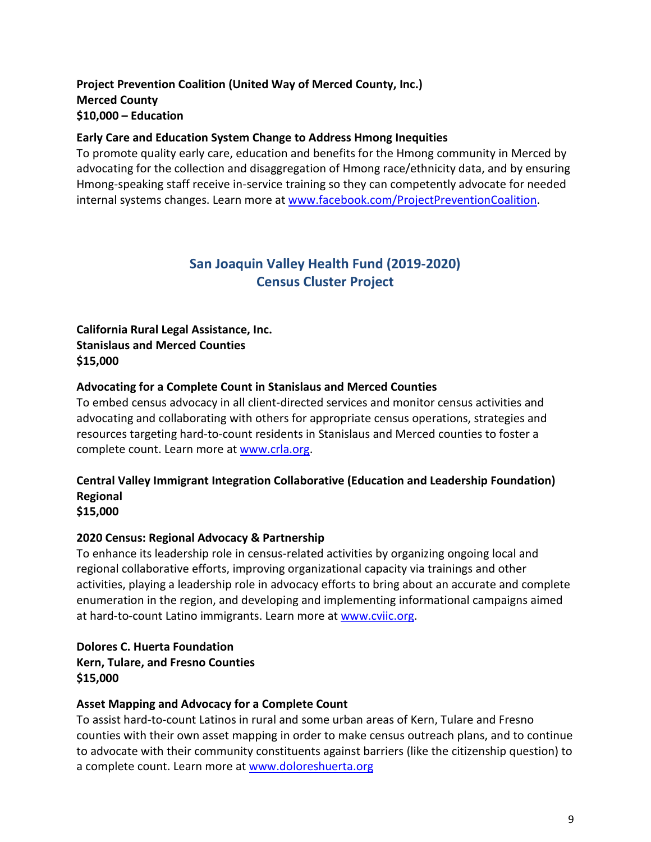# **Project Prevention Coalition (United Way of Merced County, Inc.) Merced County \$10,000 – Education**

### **Early Care and Education System Change to Address Hmong Inequities**

To promote quality early care, education and benefits for the Hmong community in Merced by advocating for the collection and disaggregation of Hmong race/ethnicity data, and by ensuring Hmong-speaking staff receive in-service training so they can competently advocate for needed internal systems changes. Learn more at [www.facebook.com/ProjectPreventionCoalition.](http://www.facebook.com/ProjectPreventionCoalition)

# **San Joaquin Valley Health Fund (2019-2020) Census Cluster Project**

### **California Rural Legal Assistance, Inc. Stanislaus and Merced Counties \$15,000**

### **Advocating for a Complete Count in Stanislaus and Merced Counties**

To embed census advocacy in all client-directed services and monitor census activities and advocating and collaborating with others for appropriate census operations, strategies and resources targeting hard-to-count residents in Stanislaus and Merced counties to foster a complete count. Learn more a[t www.crla.org.](http://www.crla.org/)

# **Central Valley Immigrant Integration Collaborative (Education and Leadership Foundation) Regional**

**\$15,000** 

### **2020 Census: Regional Advocacy & Partnership**

To enhance its leadership role in census-related activities by organizing ongoing local and regional collaborative efforts, improving organizational capacity via trainings and other activities, playing a leadership role in advocacy efforts to bring about an accurate and complete enumeration in the region, and developing and implementing informational campaigns aimed at hard-to-count Latino immigrants. Learn more at [www.cviic.org.](http://www.cviic.org/)

# **Dolores C. Huerta Foundation Kern, Tulare, and Fresno Counties \$15,000**

### **Asset Mapping and Advocacy for a Complete Count**

To assist hard-to-count Latinos in rural and some urban areas of Kern, Tulare and Fresno counties with their own asset mapping in order to make census outreach plans, and to continue to advocate with their community constituents against barriers (like the citizenship question) to a complete count. Learn more at [www.doloreshuerta.org](http://www.doloreshuerta.org/)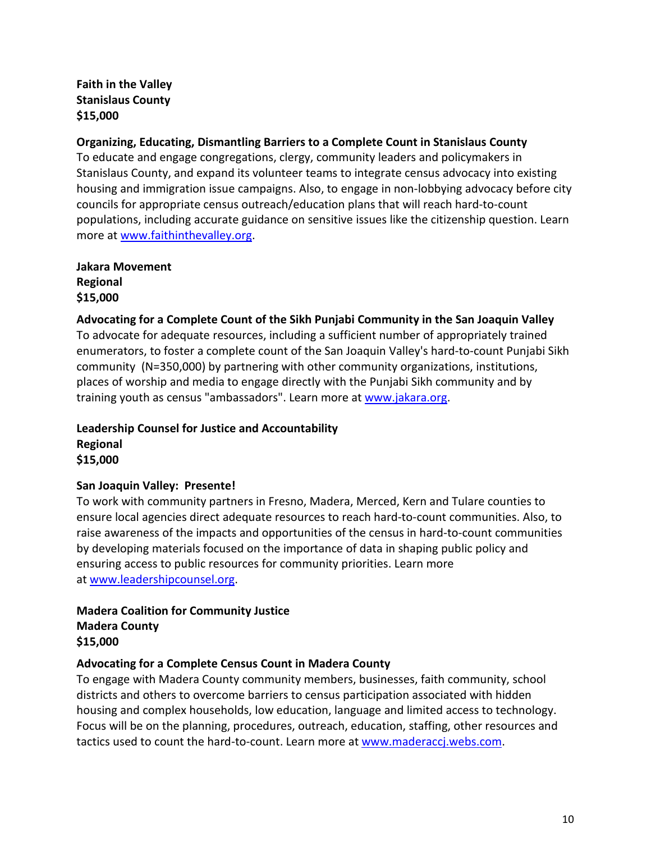**Faith in the Valley Stanislaus County \$15,000** 

### **Organizing, Educating, Dismantling Barriers to a Complete Count in Stanislaus County**

To educate and engage congregations, clergy, community leaders and policymakers in Stanislaus County, and expand its volunteer teams to integrate census advocacy into existing housing and immigration issue campaigns. Also, to engage in non-lobbying advocacy before city councils for appropriate census outreach/education plans that will reach hard-to-count populations, including accurate guidance on sensitive issues like the citizenship question. Learn more at [www.faithinthevalley.org.](http://www.faithinthevalley.org/)

**Jakara Movement Regional \$15,000**

### **Advocating for a Complete Count of the Sikh Punjabi Community in the San Joaquin Valley**

To advocate for adequate resources, including a sufficient number of appropriately trained enumerators, to foster a complete count of the San Joaquin Valley's hard-to-count Punjabi Sikh community (N=350,000) by partnering with other community organizations, institutions, places of worship and media to engage directly with the Punjabi Sikh community and by training youth as census "ambassadors". Learn more at [www.jakara.org.](http://www.jakara.org/)

**Leadership Counsel for Justice and Accountability Regional \$15,000** 

### **San Joaquin Valley: Presente!**

To work with community partners in Fresno, Madera, Merced, Kern and Tulare counties to ensure local agencies direct adequate resources to reach hard-to-count communities. Also, to raise awareness of the impacts and opportunities of the census in hard-to-count communities by developing materials focused on the importance of data in shaping public policy and ensuring access to public resources for community priorities. Learn more at [www.leadershipcounsel.org.](http://www.leadershipcounsel.org/)

### **Madera Coalition for Community Justice Madera County \$15,000**

### **Advocating for a Complete Census Count in Madera County**

To engage with Madera County community members, businesses, faith community, school districts and others to overcome barriers to census participation associated with hidden housing and complex households, low education, language and limited access to technology. Focus will be on the planning, procedures, outreach, education, staffing, other resources and tactics used to count the hard-to-count. Learn more at [www.maderaccj.webs.com.](http://www.maderaccj.webs.com/)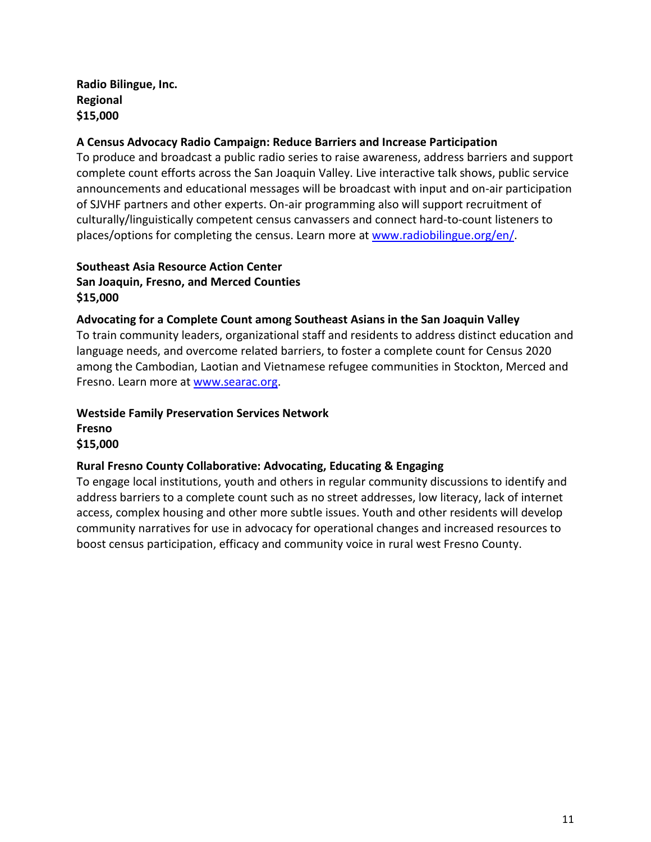# **Radio Bilingue, Inc. Regional \$15,000**

### **A Census Advocacy Radio Campaign: Reduce Barriers and Increase Participation**

To produce and broadcast a public radio series to raise awareness, address barriers and support complete count efforts across the San Joaquin Valley. Live interactive talk shows, public service announcements and educational messages will be broadcast with input and on-air participation of SJVHF partners and other experts. On-air programming also will support recruitment of culturally/linguistically competent census canvassers and connect hard-to-count listeners to places/options for completing the census. Learn more at [www.radiobilingue.org/en/.](http://www.radiobilingue.org/en/)

# **Southeast Asia Resource Action Center San Joaquin, Fresno, and Merced Counties \$15,000**

### **Advocating for a Complete Count among Southeast Asians in the San Joaquin Valley**

To train community leaders, organizational staff and residents to address distinct education and language needs, and overcome related barriers, to foster a complete count for Census 2020 among the Cambodian, Laotian and Vietnamese refugee communities in Stockton, Merced and Fresno. Learn more at [www.searac.org.](http://www.searac.org/)

### **Westside Family Preservation Services Network Fresno \$15,000**

# **Rural Fresno County Collaborative: Advocating, Educating & Engaging**

To engage local institutions, youth and others in regular community discussions to identify and address barriers to a complete count such as no street addresses, low literacy, lack of internet access, complex housing and other more subtle issues. Youth and other residents will develop community narratives for use in advocacy for operational changes and increased resources to boost census participation, efficacy and community voice in rural west Fresno County.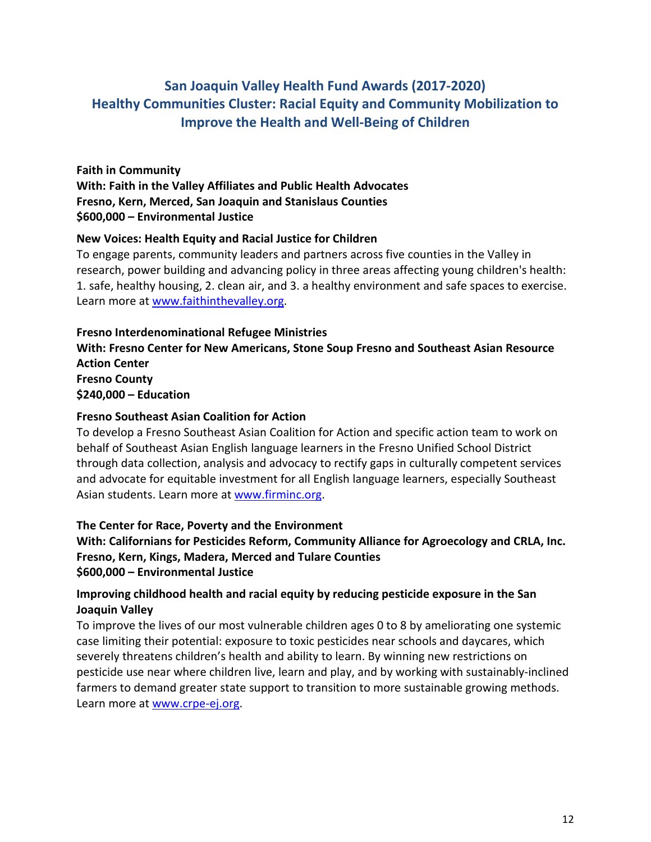# **San Joaquin Valley Health Fund Awards (2017-2020) Healthy Communities Cluster: Racial Equity and Community Mobilization to Improve the Health and Well-Being of Children**

### **Faith in Community**

**With: Faith in the Valley Affiliates and Public Health Advocates Fresno, Kern, Merced, San Joaquin and Stanislaus Counties \$600,000 – Environmental Justice**

### **New Voices: Health Equity and Racial Justice for Children**

To engage parents, community leaders and partners across five counties in the Valley in research, power building and advancing policy in three areas affecting young children's health: 1. safe, healthy housing, 2. clean air, and 3. a healthy environment and safe spaces to exercise. Learn more at [www.faithinthevalley.org.](http://www.faithinthevalley.org/)

### **Fresno Interdenominational Refugee Ministries**

**With: Fresno Center for New Americans, Stone Soup Fresno and Southeast Asian Resource Action Center Fresno County \$240,000 – Education**

# **Fresno Southeast Asian Coalition for Action**

To develop a Fresno Southeast Asian Coalition for Action and specific action team to work on behalf of Southeast Asian English language learners in the Fresno Unified School District through data collection, analysis and advocacy to rectify gaps in culturally competent services and advocate for equitable investment for all English language learners, especially Southeast Asian students. Learn more at [www.firminc.org.](http://www.firminc.org/)

# **The Center for Race, Poverty and the Environment**

**With: Californians for Pesticides Reform, Community Alliance for Agroecology and CRLA, Inc. Fresno, Kern, Kings, Madera, Merced and Tulare Counties \$600,000 – Environmental Justice**

# **Improving childhood health and racial equity by reducing pesticide exposure in the San Joaquin Valley**

To improve the lives of our most vulnerable children ages 0 to 8 by ameliorating one systemic case limiting their potential: exposure to toxic pesticides near schools and daycares, which severely threatens children's health and ability to learn. By winning new restrictions on pesticide use near where children live, learn and play, and by working with sustainably-inclined farmers to demand greater state support to transition to more sustainable growing methods. Learn more at [www.crpe-ej.org.](http://www.crpe-ej.org/)